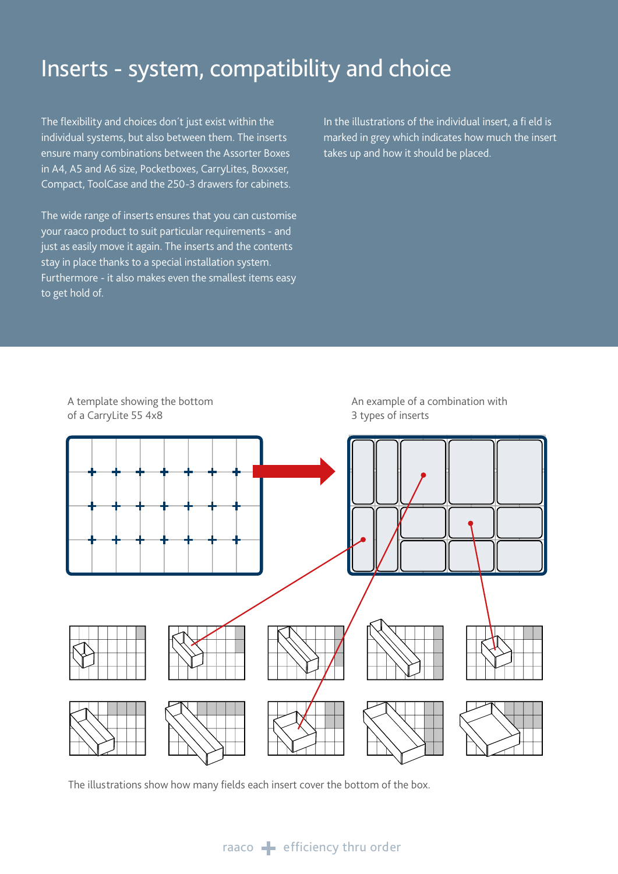## Inserts - system, compatibility and choice

The flexibility and choices don't just exist within the individual systems, but also between them. The inserts ensure many combinations between the Assorter Boxes in A4, A5 and A6 size, Pocketboxes, CarryLites, Boxxser, Compact, ToolCase and the 250-3 drawers for cabinets.

The wide range of inserts ensures that you can customise your raaco product to suit particular requirements - and just as easily move it again. The inserts and the contents stay in place thanks to a special installation system. Furthermore - it also makes even the smallest items easy to get hold of.

In the illustrations of the individual insert, a fi eld is marked in grey which indicates how much the insert takes up and how it should be placed.



The illustrations show how many fields each insert cover the bottom of the box.